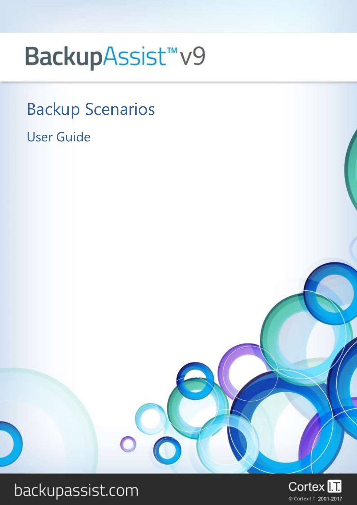# BackupAssist<sup>™</sup>v9

## Backup Scenarios

### User Guide



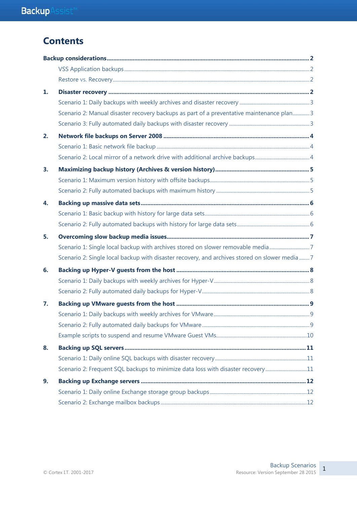### **Contents**

| 1. |                                                                                               |  |
|----|-----------------------------------------------------------------------------------------------|--|
|    |                                                                                               |  |
|    | Scenario 2: Manual disaster recovery backups as part of a preventative maintenance plan 3     |  |
|    |                                                                                               |  |
| 2. |                                                                                               |  |
|    |                                                                                               |  |
|    |                                                                                               |  |
| 3. |                                                                                               |  |
|    |                                                                                               |  |
|    |                                                                                               |  |
| 4. |                                                                                               |  |
|    |                                                                                               |  |
|    |                                                                                               |  |
| 5. |                                                                                               |  |
|    | Scenario 1: Single local backup with archives stored on slower removable media7               |  |
|    | Scenario 2: Single local backup with disaster recovery, and archives stored on slower media 7 |  |
| 6. |                                                                                               |  |
|    |                                                                                               |  |
|    |                                                                                               |  |
| 7. |                                                                                               |  |
|    |                                                                                               |  |
|    |                                                                                               |  |
|    |                                                                                               |  |
| 8. |                                                                                               |  |
|    |                                                                                               |  |
|    | Scenario 2: Frequent SQL backups to minimize data loss with disaster recovery11               |  |
| 9. |                                                                                               |  |
|    |                                                                                               |  |
|    |                                                                                               |  |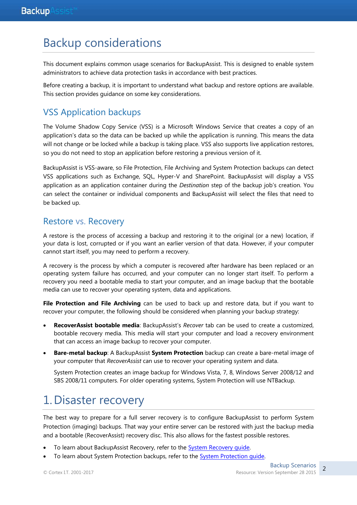### Backup considerations

This document explains common usage scenarios for BackupAssist. This is designed to enable system administrators to achieve data protection tasks in accordance with best practices.

Before creating a backup, it is important to understand what backup and restore options are available. This section provides guidance on some key considerations.

### VSS Application backups

The Volume Shadow Copy Service (VSS) is a Microsoft Windows Service that creates a copy of an application's data so the data can be backed up while the application is running. This means the data will not change or be locked while a backup is taking place. VSS also supports live application restores, so you do not need to stop an application before restoring a previous version of it.

BackupAssist is VSS-aware, so File Protection, File Archiving and System Protection backups can detect VSS applications such as Exchange, SQL, Hyper-V and SharePoint. BackupAssist will display a VSS application as an application container during the *Destination* step of the backup job's creation. You can select the container or individual components and BackupAssist will select the files that need to be backed up.

### Restore vs. Recovery

A restore is the process of accessing a backup and restoring it to the original (or a new) location, if your data is lost, corrupted or if you want an earlier version of that data. However, if your computer cannot start itself, you may need to perform a recovery.

A recovery is the process by which a computer is recovered after hardware has been replaced or an operating system failure has occurred, and your computer can no longer start itself. To perform a recovery you need a bootable media to start your computer, and an image backup that the bootable media can use to recover your operating system, data and applications.

**File Protection and File Archiving** can be used to back up and restore data, but if you want to recover your computer, the following should be considered when planning your backup strategy:

- **RecoverAssist bootable media**: BackupAssist's *Recover* tab can be used to create a customized, bootable recovery media. This media will start your computer and load a recovery environment that can access an image backup to recover your computer.
- **Bare-metal backup**: A BackupAssist **System Protection** backup can create a bare-metal image of your computer that *RecoverAssist* can use to recover your operating system and data.

System Protection creates an image backup for Windows Vista, 7, 8, Windows Server 2008/12 and SBS 2008/11 computers. For older operating systems, System Protection will use NTBackup.

### 1.Disaster recovery

The best way to prepare for a full server recovery is to configure BackupAssist to perform System Protection (imaging) backups. That way your entire server can be restored with just the backup media and a bootable (RecoverAssist) recovery disc. This also allows for the fastest possible restores.

- To learn about BackupAssist Recovery, refer to the [System Recovery guide.](http://www.backupassist.com/education/v9/backupassist/system-recovery-guide.html)
- To learn about System Protection backups, refer to the System Protection quide.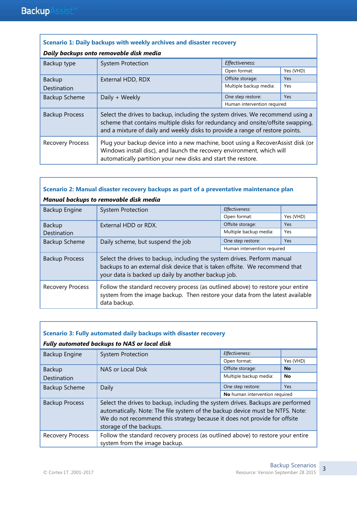| Scenario 1: Daily backups with weekly archives and disaster recovery                                                                                                                                                                                  |                                                                                                                                                                                                                                                    |                        |            |  |
|-------------------------------------------------------------------------------------------------------------------------------------------------------------------------------------------------------------------------------------------------------|----------------------------------------------------------------------------------------------------------------------------------------------------------------------------------------------------------------------------------------------------|------------------------|------------|--|
|                                                                                                                                                                                                                                                       | Daily backups onto removable disk media                                                                                                                                                                                                            |                        |            |  |
| Backup type                                                                                                                                                                                                                                           | <b>System Protection</b>                                                                                                                                                                                                                           | Effectiveness:         |            |  |
|                                                                                                                                                                                                                                                       |                                                                                                                                                                                                                                                    | Open format:           | Yes (VHD)  |  |
| <b>Backup</b>                                                                                                                                                                                                                                         | External HDD, RDX                                                                                                                                                                                                                                  | Offsite storage:       | <b>Yes</b> |  |
| Destination                                                                                                                                                                                                                                           |                                                                                                                                                                                                                                                    | Multiple backup media: | Yes        |  |
| <b>Backup Scheme</b>                                                                                                                                                                                                                                  | Daily + Weekly                                                                                                                                                                                                                                     | One step restore:      | <b>Yes</b> |  |
|                                                                                                                                                                                                                                                       | Human intervention required                                                                                                                                                                                                                        |                        |            |  |
| <b>Backup Process</b>                                                                                                                                                                                                                                 | Select the drives to backup, including the system drives. We recommend using a<br>scheme that contains multiple disks for redundancy and onsite/offsite swapping,<br>and a mixture of daily and weekly disks to provide a range of restore points. |                        |            |  |
| Plug your backup device into a new machine, boot using a RecoverAssist disk (or<br><b>Recovery Process</b><br>Windows install disc), and launch the recovery environment, which will<br>automatically partition your new disks and start the restore. |                                                                                                                                                                                                                                                    |                        |            |  |

### **Scenario 2: Manual disaster recovery backups as part of a preventative maintenance plan**

| Manual backups to removable disk media                                                                                                                                                                       |                                                                                                                                                                                                                |                             |            |
|--------------------------------------------------------------------------------------------------------------------------------------------------------------------------------------------------------------|----------------------------------------------------------------------------------------------------------------------------------------------------------------------------------------------------------------|-----------------------------|------------|
| Backup Engine                                                                                                                                                                                                | <b>System Protection</b>                                                                                                                                                                                       | Effectiveness:              |            |
|                                                                                                                                                                                                              |                                                                                                                                                                                                                | Open format:                | Yes (VHD)  |
| Backup                                                                                                                                                                                                       | External HDD or RDX.                                                                                                                                                                                           | Offsite storage:            | <b>Yes</b> |
| Destination                                                                                                                                                                                                  |                                                                                                                                                                                                                | Multiple backup media:      | Yes        |
| <b>Backup Scheme</b>                                                                                                                                                                                         | Daily scheme, but suspend the job                                                                                                                                                                              | One step restore:           | <b>Yes</b> |
|                                                                                                                                                                                                              |                                                                                                                                                                                                                | Human intervention required |            |
| <b>Backup Process</b>                                                                                                                                                                                        | Select the drives to backup, including the system drives. Perform manual<br>backups to an external disk device that is taken offsite. We recommend that<br>your data is backed up daily by another backup job. |                             |            |
| Follow the standard recovery process (as outlined above) to restore your entire<br><b>Recovery Process</b><br>system from the image backup. Then restore your data from the latest available<br>data backup. |                                                                                                                                                                                                                |                             |            |

| Scenario 3: Fully automated daily backups with disaster recovery |                                                                                                                                                                                                                                                                          |                        |           |
|------------------------------------------------------------------|--------------------------------------------------------------------------------------------------------------------------------------------------------------------------------------------------------------------------------------------------------------------------|------------------------|-----------|
|                                                                  | Fully automated backups to NAS or local disk                                                                                                                                                                                                                             |                        |           |
| Backup Engine                                                    | <b>System Protection</b>                                                                                                                                                                                                                                                 | Effectiveness:         |           |
|                                                                  |                                                                                                                                                                                                                                                                          | Open format:           | Yes (VHD) |
| Backup                                                           | NAS or Local Disk                                                                                                                                                                                                                                                        | Offsite storage:       | <b>No</b> |
| Destination                                                      |                                                                                                                                                                                                                                                                          | Multiple backup media: | No        |
| <b>Backup Scheme</b>                                             | Daily                                                                                                                                                                                                                                                                    | One step restore:      | Yes       |
|                                                                  | No human intervention required                                                                                                                                                                                                                                           |                        |           |
| <b>Backup Process</b>                                            | Select the drives to backup, including the system drives. Backups are performed<br>automatically. Note: The file system of the backup device must be NTFS. Note:<br>We do not recommend this strategy because it does not provide for offsite<br>storage of the backups. |                        |           |
| <b>Recovery Process</b>                                          | Follow the standard recovery process (as outlined above) to restore your entire                                                                                                                                                                                          |                        |           |
|                                                                  | system from the image backup.                                                                                                                                                                                                                                            |                        |           |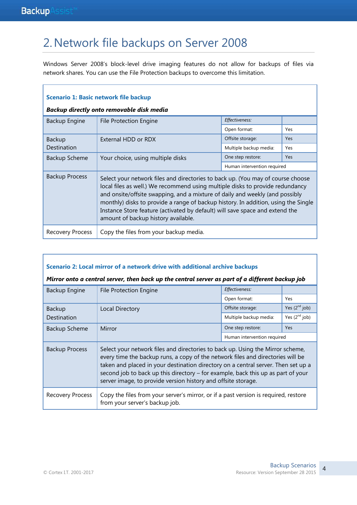### 2.Network file backups on Server 2008

Windows Server 2008's block-level drive imaging features do not allow for backups of files via network shares. You can use the File Protection backups to overcome this limitation.

| <b>Scenario 1: Basic network file backup</b>               |                                                                                                                                                                                                                                                                                                                                                                                                                                                               |                             |     |  |
|------------------------------------------------------------|---------------------------------------------------------------------------------------------------------------------------------------------------------------------------------------------------------------------------------------------------------------------------------------------------------------------------------------------------------------------------------------------------------------------------------------------------------------|-----------------------------|-----|--|
|                                                            | Backup directly onto removable disk media                                                                                                                                                                                                                                                                                                                                                                                                                     |                             |     |  |
| Backup Engine                                              | <b>File Protection Engine</b>                                                                                                                                                                                                                                                                                                                                                                                                                                 | Effectiveness:              |     |  |
|                                                            |                                                                                                                                                                                                                                                                                                                                                                                                                                                               | Open format:                | Yes |  |
| <b>Backup</b>                                              | External HDD or RDX                                                                                                                                                                                                                                                                                                                                                                                                                                           | Offsite storage:            | Yes |  |
| Destination                                                |                                                                                                                                                                                                                                                                                                                                                                                                                                                               | Multiple backup media:      | Yes |  |
| <b>Backup Scheme</b>                                       | Your choice, using multiple disks                                                                                                                                                                                                                                                                                                                                                                                                                             | One step restore:           | Yes |  |
|                                                            |                                                                                                                                                                                                                                                                                                                                                                                                                                                               | Human intervention required |     |  |
| <b>Backup Process</b>                                      | Select your network files and directories to back up. (You may of course choose<br>local files as well.) We recommend using multiple disks to provide redundancy<br>and onsite/offsite swapping, and a mixture of daily and weekly (and possibly<br>monthly) disks to provide a range of backup history. In addition, using the Single<br>Instance Store feature (activated by default) will save space and extend the<br>amount of backup history available. |                             |     |  |
| Copy the files from your backup media.<br>Recovery Process |                                                                                                                                                                                                                                                                                                                                                                                                                                                               |                             |     |  |

#### **Scenario 2: Local mirror of a network drive with additional archive backups**

#### *Mirror onto a central server, then back up the central server as part of a different backup job*

| Backup Engine<br><b>File Protection Engine</b> | Effectiveness:                                                                                                                                                                                                                                                                                                                                                                                              |                        |                             |
|------------------------------------------------|-------------------------------------------------------------------------------------------------------------------------------------------------------------------------------------------------------------------------------------------------------------------------------------------------------------------------------------------------------------------------------------------------------------|------------------------|-----------------------------|
|                                                | Open format:                                                                                                                                                                                                                                                                                                                                                                                                | Yes                    |                             |
| Backup                                         | <b>Local Directory</b>                                                                                                                                                                                                                                                                                                                                                                                      | Offsite storage:       | Yes $(2nd job)$             |
| Destination                                    |                                                                                                                                                                                                                                                                                                                                                                                                             | Multiple backup media: | Yes $(2nd job)$             |
| Mirror<br><b>Backup Scheme</b>                 | One step restore:                                                                                                                                                                                                                                                                                                                                                                                           | <b>Yes</b>             |                             |
|                                                |                                                                                                                                                                                                                                                                                                                                                                                                             |                        | Human intervention required |
| <b>Backup Process</b>                          | Select your network files and directories to back up. Using the Mirror scheme,<br>every time the backup runs, a copy of the network files and directories will be<br>taken and placed in your destination directory on a central server. Then set up a<br>second job to back up this directory - for example, back this up as part of your<br>server image, to provide version history and offsite storage. |                        |                             |
| <b>Recovery Process</b>                        | Copy the files from your server's mirror, or if a past version is required, restore<br>from your server's backup job.                                                                                                                                                                                                                                                                                       |                        |                             |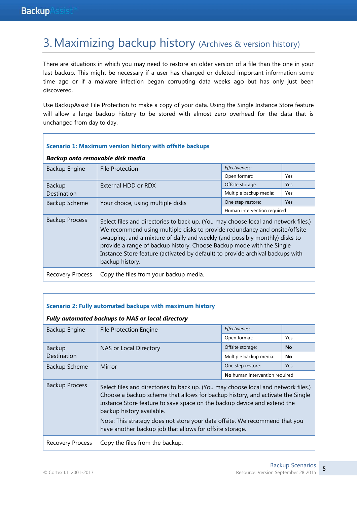### 3.Maximizing backup history (Archives & version history)

There are situations in which you may need to restore an older version of a file than the one in your last backup. This might be necessary if a user has changed or deleted important information some time ago or if a malware infection began corrupting data weeks ago but has only just been discovered.

Use BackupAssist File Protection to make a copy of your data. Using the Single Instance Store feature will allow a large backup history to be stored with almost zero overhead for the data that is unchanged from day to day.

| Scenario 1: Maximum version history with offsite backups   |                                                                                                                                                                                                                                                                                                                                                                                                                               |                             |            |
|------------------------------------------------------------|-------------------------------------------------------------------------------------------------------------------------------------------------------------------------------------------------------------------------------------------------------------------------------------------------------------------------------------------------------------------------------------------------------------------------------|-----------------------------|------------|
| Backup onto removable disk media                           |                                                                                                                                                                                                                                                                                                                                                                                                                               |                             |            |
| Backup Engine                                              | <b>File Protection</b>                                                                                                                                                                                                                                                                                                                                                                                                        | Effectiveness:              |            |
|                                                            |                                                                                                                                                                                                                                                                                                                                                                                                                               | Open format:                | Yes        |
| <b>Backup</b>                                              | External HDD or RDX                                                                                                                                                                                                                                                                                                                                                                                                           | Offsite storage:            | Yes        |
| Destination                                                |                                                                                                                                                                                                                                                                                                                                                                                                                               | Multiple backup media:      | Yes        |
| <b>Backup Scheme</b>                                       | Your choice, using multiple disks                                                                                                                                                                                                                                                                                                                                                                                             | One step restore:           | <b>Yes</b> |
|                                                            |                                                                                                                                                                                                                                                                                                                                                                                                                               | Human intervention required |            |
| <b>Backup Process</b>                                      | Select files and directories to back up. (You may choose local and network files.)<br>We recommend using multiple disks to provide redundancy and onsite/offsite<br>swapping, and a mixture of daily and weekly (and possibly monthly) disks to<br>provide a range of backup history. Choose Backup mode with the Single<br>Instance Store feature (activated by default) to provide archival backups with<br>backup history. |                             |            |
| Copy the files from your backup media.<br>Recovery Process |                                                                                                                                                                                                                                                                                                                                                                                                                               |                             |            |

#### **Scenario 2: Fully automated backups with maximum history**

#### *Fully automated backups to NAS or local directory*

| Backup Engine<br><b>File Protection Engine</b> |                                                                                                                                                                                                                                                                                                                                                                                                                          | Effectiveness:                 |           |
|------------------------------------------------|--------------------------------------------------------------------------------------------------------------------------------------------------------------------------------------------------------------------------------------------------------------------------------------------------------------------------------------------------------------------------------------------------------------------------|--------------------------------|-----------|
|                                                | Open format:                                                                                                                                                                                                                                                                                                                                                                                                             | Yes                            |           |
| Backup                                         | NAS or Local Directory                                                                                                                                                                                                                                                                                                                                                                                                   | Offsite storage:               | <b>No</b> |
| Destination                                    |                                                                                                                                                                                                                                                                                                                                                                                                                          | Multiple backup media:         | No        |
| Backup Scheme                                  | Mirror                                                                                                                                                                                                                                                                                                                                                                                                                   | One step restore:              | Yes       |
|                                                |                                                                                                                                                                                                                                                                                                                                                                                                                          | No human intervention required |           |
| <b>Backup Process</b>                          | Select files and directories to back up. (You may choose local and network files.)<br>Choose a backup scheme that allows for backup history, and activate the Single<br>Instance Store feature to save space on the backup device and extend the<br>backup history available.<br>Note: This strategy does not store your data offsite. We recommend that you<br>have another backup job that allows for offsite storage. |                                |           |
| Recovery Process                               | Copy the files from the backup.                                                                                                                                                                                                                                                                                                                                                                                          |                                |           |

٦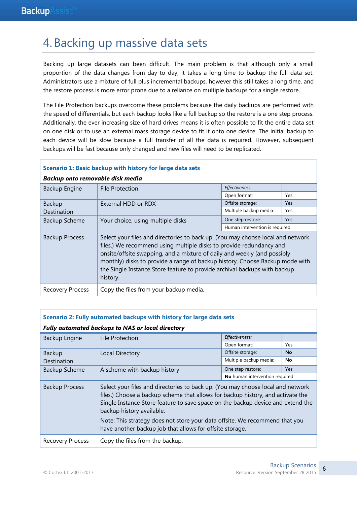### 4.Backing up massive data sets

Backing up large datasets can been difficult. The main problem is that although only a small proportion of the data changes from day to day, it takes a long time to backup the full data set. Administrators use a mixture of full plus incremental backups, however this still takes a long time, and the restore process is more error prone due to a reliance on multiple backups for a single restore.

The File Protection backups overcome these problems because the daily backups are performed with the speed of differentials, but each backup looks like a full backup so the restore is a one step process. Additionally, the ever increasing size of hard drives means it is often possible to fit the entire data set on one disk or to use an external mass storage device to fit it onto one device. The initial backup to each device will be slow because a full transfer of all the data is required. However, subsequent backups will be fast because only changed and new files will need to be replicated.

#### **Scenario 1: Basic backup with history for large data sets**

| Backup onto removable disk media |                                                                                                                                                                                                                                                                                                                                                                                                             |                                |            |  |
|----------------------------------|-------------------------------------------------------------------------------------------------------------------------------------------------------------------------------------------------------------------------------------------------------------------------------------------------------------------------------------------------------------------------------------------------------------|--------------------------------|------------|--|
| Backup Engine                    | <b>File Protection</b>                                                                                                                                                                                                                                                                                                                                                                                      | Effectiveness:                 |            |  |
|                                  |                                                                                                                                                                                                                                                                                                                                                                                                             | Open format:                   | Yes        |  |
| <b>Backup</b>                    | External HDD or RDX                                                                                                                                                                                                                                                                                                                                                                                         | Offsite storage:               | Yes        |  |
| Destination                      |                                                                                                                                                                                                                                                                                                                                                                                                             | Multiple backup media:         | Yes        |  |
| <b>Backup Scheme</b>             | Your choice, using multiple disks                                                                                                                                                                                                                                                                                                                                                                           | One step restore:              | <b>Yes</b> |  |
|                                  |                                                                                                                                                                                                                                                                                                                                                                                                             | Human intervention is required |            |  |
| <b>Backup Process</b>            | Select your files and directories to back up. (You may choose local and network<br>files.) We recommend using multiple disks to provide redundancy and<br>onsite/offsite swapping, and a mixture of daily and weekly (and possibly<br>monthly) disks to provide a range of backup history. Choose Backup mode with<br>the Single Instance Store feature to provide archival backups with backup<br>history. |                                |            |  |
| Recovery Process                 | Copy the files from your backup media.                                                                                                                                                                                                                                                                                                                                                                      |                                |            |  |

|               | <b>Fully automated backups to NAS or local directory</b> |
|---------------|----------------------------------------------------------|
| Backup Engine | File Protection                                          |

**Scenario 2: Fully automated backups with history for large data sets**

| Backup Engine<br><b>File Protection</b> |                                                                                                                                                                                                                                                                                                                                                                                                                               | Effectiveness:                 |            |
|-----------------------------------------|-------------------------------------------------------------------------------------------------------------------------------------------------------------------------------------------------------------------------------------------------------------------------------------------------------------------------------------------------------------------------------------------------------------------------------|--------------------------------|------------|
|                                         | Open format:                                                                                                                                                                                                                                                                                                                                                                                                                  | Yes                            |            |
| <b>Backup</b>                           | Local Directory                                                                                                                                                                                                                                                                                                                                                                                                               | Offsite storage:               | <b>No</b>  |
| Destination                             |                                                                                                                                                                                                                                                                                                                                                                                                                               | Multiple backup media:         | No         |
| <b>Backup Scheme</b>                    | A scheme with backup history                                                                                                                                                                                                                                                                                                                                                                                                  | One step restore:              | <b>Yes</b> |
|                                         |                                                                                                                                                                                                                                                                                                                                                                                                                               | No human intervention required |            |
| <b>Backup Process</b>                   | Select your files and directories to back up. (You may choose local and network<br>files.) Choose a backup scheme that allows for backup history, and activate the<br>Single Instance Store feature to save space on the backup device and extend the<br>backup history available.<br>Note: This strategy does not store your data offsite. We recommend that you<br>have another backup job that allows for offsite storage. |                                |            |
| <b>Recovery Process</b>                 | Copy the files from the backup.                                                                                                                                                                                                                                                                                                                                                                                               |                                |            |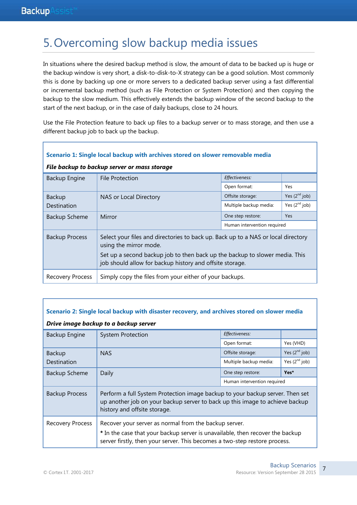r

### 5.Overcoming slow backup media issues

In situations where the desired backup method is slow, the amount of data to be backed up is huge or the backup window is very short, a disk-to-disk-to-X strategy can be a good solution. Most commonly this is done by backing up one or more servers to a dedicated backup server using a fast differential or incremental backup method (such as File Protection or System Protection) and then copying the backup to the slow medium. This effectively extends the backup window of the second backup to the start of the next backup, or in the case of daily backups, close to 24 hours.

Use the File Protection feature to back up files to a backup server or to mass storage, and then use a different backup job to back up the backup.

| Scenario 1: Single local backup with archives stored on slower removable media |                                                                                                                                                                                                                                                        |                             |                    |
|--------------------------------------------------------------------------------|--------------------------------------------------------------------------------------------------------------------------------------------------------------------------------------------------------------------------------------------------------|-----------------------------|--------------------|
|                                                                                | File backup to backup server or mass storage                                                                                                                                                                                                           |                             |                    |
| Backup Engine                                                                  | File Protection                                                                                                                                                                                                                                        | Effectiveness:              |                    |
|                                                                                |                                                                                                                                                                                                                                                        | Open format:                | Yes                |
| <b>Backup</b>                                                                  | NAS or Local Directory                                                                                                                                                                                                                                 | Offsite storage:            | Yes $(2^{nd}$ job) |
| <b>Destination</b>                                                             |                                                                                                                                                                                                                                                        | Multiple backup media:      | Yes $(2^{nd}$ job) |
| <b>Backup Scheme</b>                                                           | Mirror                                                                                                                                                                                                                                                 | One step restore:           | <b>Yes</b>         |
|                                                                                |                                                                                                                                                                                                                                                        | Human intervention required |                    |
| <b>Backup Process</b>                                                          | Select your files and directories to back up. Back up to a NAS or local directory<br>using the mirror mode.<br>Set up a second backup job to then back up the backup to slower media. This<br>job should allow for backup history and offsite storage. |                             |                    |
| Recovery Process                                                               | Simply copy the files from your either of your backups.                                                                                                                                                                                                |                             |                    |

| Scenario 2: Single local backup with disaster recovery, and archives stored on slower media |                                                                                                                                                                                                                      |                             |                    |
|---------------------------------------------------------------------------------------------|----------------------------------------------------------------------------------------------------------------------------------------------------------------------------------------------------------------------|-----------------------------|--------------------|
|                                                                                             | Drive image backup to a backup server                                                                                                                                                                                |                             |                    |
| Backup Engine                                                                               | <b>System Protection</b>                                                                                                                                                                                             | Effectiveness:              |                    |
|                                                                                             |                                                                                                                                                                                                                      | Open format:                | Yes (VHD)          |
| <b>Backup</b>                                                                               | <b>NAS</b>                                                                                                                                                                                                           | Offsite storage:            | Yes $(2^{nd}$ job) |
| Destination                                                                                 |                                                                                                                                                                                                                      | Multiple backup media:      | Yes $(2nd job)$    |
| Backup Scheme                                                                               | Daily                                                                                                                                                                                                                | One step restore:           | Yes*               |
|                                                                                             |                                                                                                                                                                                                                      | Human intervention required |                    |
| <b>Backup Process</b>                                                                       | Perform a full System Protection image backup to your backup server. Then set<br>up another job on your backup server to back up this image to achieve backup<br>history and offsite storage.                        |                             |                    |
| Recovery Process                                                                            | Recover your server as normal from the backup server.<br>* In the case that your backup server is unavailable, then recover the backup<br>server firstly, then your server. This becomes a two-step restore process. |                             |                    |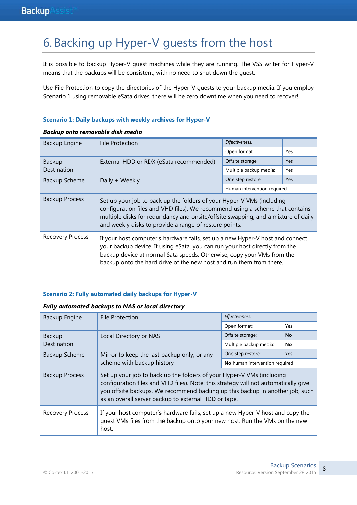### 6.Backing up Hyper-V guests from the host

It is possible to backup Hyper-V guest machines while they are running. The VSS writer for Hyper-V means that the backups will be consistent, with no need to shut down the guest.

Use File Protection to copy the directories of the Hyper-V guests to your backup media. If you employ Scenario 1 using removable eSata drives, there will be zero downtime when you need to recover!

| Scenario 1: Daily backups with weekly archives for Hyper-V |                                                                                                                                                                                                                                                                                                               |                             |     |
|------------------------------------------------------------|---------------------------------------------------------------------------------------------------------------------------------------------------------------------------------------------------------------------------------------------------------------------------------------------------------------|-----------------------------|-----|
| Backup onto removable disk media                           |                                                                                                                                                                                                                                                                                                               |                             |     |
| Backup Engine                                              | <b>File Protection</b>                                                                                                                                                                                                                                                                                        | Effectiveness:              |     |
|                                                            |                                                                                                                                                                                                                                                                                                               | Open format:                | Yes |
| <b>Backup</b>                                              | External HDD or RDX (eSata recommended)                                                                                                                                                                                                                                                                       | Offsite storage:            | Yes |
| Destination                                                |                                                                                                                                                                                                                                                                                                               | Multiple backup media:      | Yes |
| <b>Backup Scheme</b>                                       | Daily + Weekly                                                                                                                                                                                                                                                                                                | One step restore:           | Yes |
|                                                            |                                                                                                                                                                                                                                                                                                               | Human intervention required |     |
| <b>Backup Process</b>                                      | Set up your job to back up the folders of your Hyper-V VMs (including<br>configuration files and VHD files). We recommend using a scheme that contains<br>multiple disks for redundancy and onsite/offsite swapping, and a mixture of daily<br>and weekly disks to provide a range of restore points.         |                             |     |
| Recovery Process                                           | If your host computer's hardware fails, set up a new Hyper-V host and connect<br>your backup device. If using eSata, you can run your host directly from the<br>backup device at normal Sata speeds. Otherwise, copy your VMs from the<br>backup onto the hard drive of the new host and run them from there. |                             |     |

#### **Scenario 2: Fully automated daily backups for Hyper-V**

#### *Fully automated backups to NAS or local directory*

| Backup Engine           | <b>File Protection</b>                                                                                                                                                                                                                                                                                | Effectiveness:                 |            |
|-------------------------|-------------------------------------------------------------------------------------------------------------------------------------------------------------------------------------------------------------------------------------------------------------------------------------------------------|--------------------------------|------------|
|                         |                                                                                                                                                                                                                                                                                                       | Open format:                   | Yes        |
| Backup                  | Local Directory or NAS                                                                                                                                                                                                                                                                                | Offsite storage:               | <b>No</b>  |
| Destination             |                                                                                                                                                                                                                                                                                                       | Multiple backup media:         | <b>No</b>  |
| Backup Scheme           | Mirror to keep the last backup only, or any<br>scheme with backup history                                                                                                                                                                                                                             | One step restore:              | <b>Yes</b> |
|                         |                                                                                                                                                                                                                                                                                                       | No human intervention required |            |
| <b>Backup Process</b>   | Set up your job to back up the folders of your Hyper-V VMs (including<br>configuration files and VHD files). Note: this strategy will not automatically give<br>you offsite backups. We recommend backing up this backup in another job, such<br>as an overall server backup to external HDD or tape. |                                |            |
| <b>Recovery Process</b> | If your host computer's hardware fails, set up a new Hyper-V host and copy the<br>guest VMs files from the backup onto your new host. Run the VMs on the new<br>host.                                                                                                                                 |                                |            |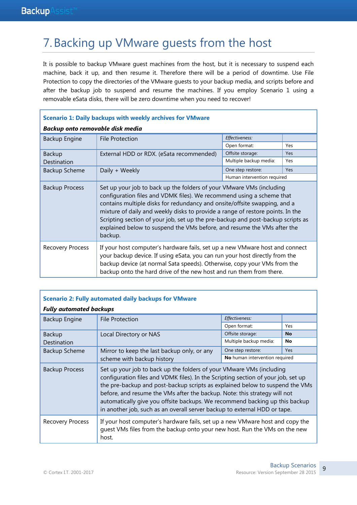### 7.Backing up VMware guests from the host

It is possible to backup VMware guest machines from the host, but it is necessary to suspend each machine, back it up, and then resume it. Therefore there will be a period of downtime. Use File Protection to copy the directories of the VMware guests to your backup media, and scripts before and after the backup job to suspend and resume the machines. If you employ Scenario 1 using a removable eSata disks, there will be zero downtime when you need to recover!

| <b>Scenario 1: Daily backups with weekly archives for VMware</b> |                                                                                                                                                                                                                                                                                                                                                                                                                                                                                       |                             |     |
|------------------------------------------------------------------|---------------------------------------------------------------------------------------------------------------------------------------------------------------------------------------------------------------------------------------------------------------------------------------------------------------------------------------------------------------------------------------------------------------------------------------------------------------------------------------|-----------------------------|-----|
| Backup onto removable disk media                                 |                                                                                                                                                                                                                                                                                                                                                                                                                                                                                       |                             |     |
| Backup Engine                                                    | <b>File Protection</b>                                                                                                                                                                                                                                                                                                                                                                                                                                                                | Effectiveness:              |     |
|                                                                  |                                                                                                                                                                                                                                                                                                                                                                                                                                                                                       | Open format:                | Yes |
| <b>Backup</b>                                                    | External HDD or RDX. (eSata recommended)                                                                                                                                                                                                                                                                                                                                                                                                                                              | Offsite storage:            | Yes |
| Destination                                                      |                                                                                                                                                                                                                                                                                                                                                                                                                                                                                       | Multiple backup media:      | Yes |
| <b>Backup Scheme</b>                                             | Daily + Weekly                                                                                                                                                                                                                                                                                                                                                                                                                                                                        | One step restore:           | Yes |
|                                                                  |                                                                                                                                                                                                                                                                                                                                                                                                                                                                                       | Human intervention required |     |
| <b>Backup Process</b>                                            | Set up your job to back up the folders of your VMware VMs (including<br>configuration files and VDMK files). We recommend using a scheme that<br>contains multiple disks for redundancy and onsite/offsite swapping, and a<br>mixture of daily and weekly disks to provide a range of restore points. In the<br>Scripting section of your job, set up the pre-backup and post-backup scripts as<br>explained below to suspend the VMs before, and resume the VMs after the<br>backup. |                             |     |
| <b>Recovery Process</b>                                          | If your host computer's hardware fails, set up a new VM ware host and connect<br>your backup device. If using eSata, you can run your host directly from the<br>backup device (at normal Sata speeds). Otherwise, copy your VMs from the<br>backup onto the hard drive of the new host and run them from there.                                                                                                                                                                       |                             |     |

| <b>Scenario 2: Fully automated daily backups for VMware</b> |                                                                                                                                                                                                                                                                                                                                                                                                                                                                                    |                                |            |
|-------------------------------------------------------------|------------------------------------------------------------------------------------------------------------------------------------------------------------------------------------------------------------------------------------------------------------------------------------------------------------------------------------------------------------------------------------------------------------------------------------------------------------------------------------|--------------------------------|------------|
| <b>Fully automated backups</b>                              |                                                                                                                                                                                                                                                                                                                                                                                                                                                                                    |                                |            |
| Backup Engine                                               | <b>File Protection</b>                                                                                                                                                                                                                                                                                                                                                                                                                                                             | Effectiveness:                 |            |
|                                                             |                                                                                                                                                                                                                                                                                                                                                                                                                                                                                    | Open format:                   | Yes        |
| <b>Backup</b>                                               | Local Directory or NAS                                                                                                                                                                                                                                                                                                                                                                                                                                                             | Offsite storage:               | No         |
| Destination                                                 |                                                                                                                                                                                                                                                                                                                                                                                                                                                                                    | Multiple backup media:         | No         |
| <b>Backup Scheme</b>                                        | Mirror to keep the last backup only, or any<br>scheme with backup history                                                                                                                                                                                                                                                                                                                                                                                                          | One step restore:              | <b>Yes</b> |
|                                                             |                                                                                                                                                                                                                                                                                                                                                                                                                                                                                    | No human intervention required |            |
| <b>Backup Process</b>                                       | Set up your job to back up the folders of your VMware VMs (including<br>configuration files and VDMK files). In the Scripting section of your job, set up<br>the pre-backup and post-backup scripts as explained below to suspend the VMs<br>before, and resume the VMs after the backup. Note: this strategy will not<br>automatically give you offsite backups. We recommend backing up this backup<br>in another job, such as an overall server backup to external HDD or tape. |                                |            |
| <b>Recovery Process</b>                                     | If your host computer's hardware fails, set up a new VMware host and copy the<br>quest VMs files from the backup onto your new host. Run the VMs on the new<br>host.                                                                                                                                                                                                                                                                                                               |                                |            |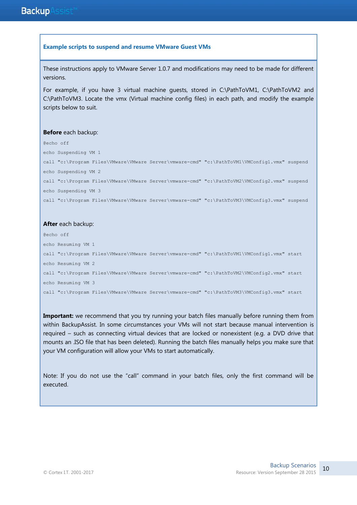#### **Example scripts to suspend and resume VMware Guest VMs**

These instructions apply to VMware Server 1.0.7 and modifications may need to be made for different versions.

For example, if you have 3 virtual machine guests, stored in C:\PathToVM1, C:\PathToVM2 and C:\PathToVM3. Locate the vmx (Virtual machine config files) in each path, and modify the example scripts below to suit.

#### **Before** each backup:

@echo off echo Suspending VM 1 call "c:\Program Files\VMware\VMware Server\vmware-cmd" "c:\PathToVM1\VMConfig1.vmx" suspend echo Suspending VM 2 call "c:\Program Files\VMware\VMware Server\vmware-cmd" "c:\PathToVM2\VMConfig2.vmx" suspend echo Suspending VM 3 call "c:\Program Files\VMware\VMware Server\vmware-cmd" "c:\PathToVM3\VMConfig3.vmx" suspend

#### **After** each backup:

@echo off echo Resuming VM 1 call "c:\Program Files\VMware\VMware Server\vmware-cmd" "c:\PathToVM1\VMConfig1.vmx" start echo Resuming VM 2 call "c:\Program Files\VMware\VMware Server\vmware-cmd" "c:\PathToVM2\VMConfig2.vmx" start echo Resuming VM 3 call "c:\Program Files\VMware\VMware Server\vmware-cmd" "c:\PathToVM3\VMConfig3.vmx" start

**Important:** we recommend that you try running your batch files manually before running them from within BackupAssist. In some circumstances your VMs will not start because manual intervention is required – such as connecting virtual devices that are locked or nonexistent (e.g. a DVD drive that mounts an .ISO file that has been deleted). Running the batch files manually helps you make sure that your VM configuration will allow your VMs to start automatically.

Note: If you do not use the "call" command in your batch files, only the first command will be executed.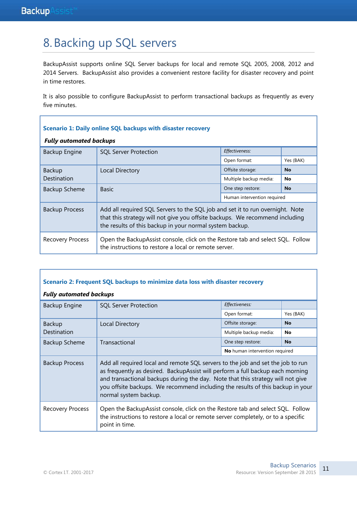### 8.Backing up SQL servers

BackupAssist supports online SQL Server backups for local and remote SQL 2005, 2008, 2012 and 2014 Servers. BackupAssist also provides a convenient restore facility for disaster recovery and point in time restores.

It is also possible to configure BackupAssist to perform transactional backups as frequently as every five minutes.

| <b>Scenario 1: Daily online SQL backups with disaster recovery</b> |                                                                                                                                                                                                                           |                             |           |
|--------------------------------------------------------------------|---------------------------------------------------------------------------------------------------------------------------------------------------------------------------------------------------------------------------|-----------------------------|-----------|
| <b>Fully automated backups</b>                                     |                                                                                                                                                                                                                           |                             |           |
| Backup Engine                                                      | <b>SQL Server Protection</b>                                                                                                                                                                                              | Effectiveness:              |           |
|                                                                    |                                                                                                                                                                                                                           | Open format:                | Yes (BAK) |
| <b>Backup</b>                                                      | Local Directory                                                                                                                                                                                                           | Offsite storage:            | <b>No</b> |
| Destination                                                        |                                                                                                                                                                                                                           | Multiple backup media:      | <b>No</b> |
| <b>Backup Scheme</b>                                               | <b>Basic</b>                                                                                                                                                                                                              | One step restore:           | <b>No</b> |
|                                                                    |                                                                                                                                                                                                                           | Human intervention required |           |
| <b>Backup Process</b>                                              | Add all required SQL Servers to the SQL job and set it to run overnight. Note<br>that this strategy will not give you offsite backups. We recommend including<br>the results of this backup in your normal system backup. |                             |           |
| <b>Recovery Process</b>                                            | Open the BackupAssist console, click on the Restore tab and select SQL. Follow<br>the instructions to restore a local or remote server.                                                                                   |                             |           |

#### **Scenario 2: Frequent SQL backups to minimize data loss with disaster recovery**

#### *Fully automated backups*

| Backup Engine           | <b>SQL Server Protection</b>                                                                                                                                                                                                                                                                                                                                    | Effectiveness:                 |           |
|-------------------------|-----------------------------------------------------------------------------------------------------------------------------------------------------------------------------------------------------------------------------------------------------------------------------------------------------------------------------------------------------------------|--------------------------------|-----------|
|                         |                                                                                                                                                                                                                                                                                                                                                                 | Open format:                   | Yes (BAK) |
| <b>Backup</b>           | <b>Local Directory</b>                                                                                                                                                                                                                                                                                                                                          | Offsite storage:               | <b>No</b> |
| Destination             |                                                                                                                                                                                                                                                                                                                                                                 | Multiple backup media:         | No        |
| <b>Backup Scheme</b>    | Transactional                                                                                                                                                                                                                                                                                                                                                   | One step restore:              | <b>No</b> |
|                         |                                                                                                                                                                                                                                                                                                                                                                 | No human intervention required |           |
| <b>Backup Process</b>   | Add all required local and remote SQL servers to the job and set the job to run<br>as frequently as desired. BackupAssist will perform a full backup each morning<br>and transactional backups during the day. Note that this strategy will not give<br>you offsite backups. We recommend including the results of this backup in your<br>normal system backup. |                                |           |
| <b>Recovery Process</b> | Open the BackupAssist console, click on the Restore tab and select SQL. Follow<br>the instructions to restore a local or remote server completely, or to a specific<br>point in time.                                                                                                                                                                           |                                |           |